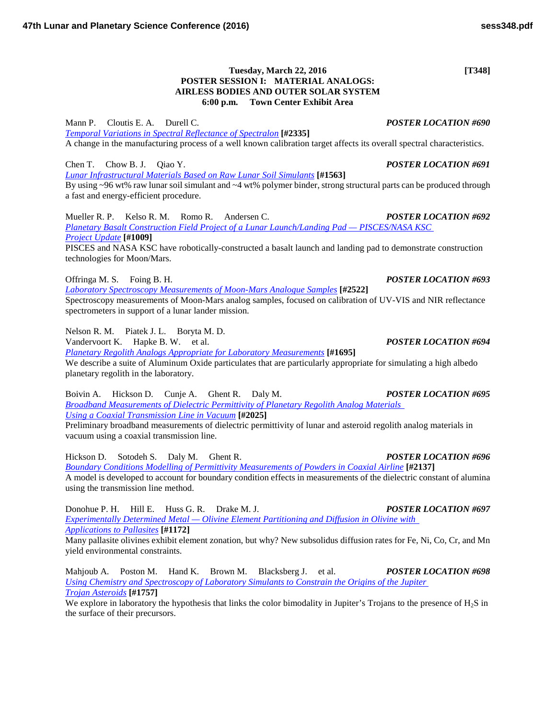## **Tuesday, March 22, 2016 [T348] POSTER SESSION I: MATERIAL ANALOGS: AIRLESS BODIES AND OUTER SOLAR SYSTEM 6:00 p.m. Town Center Exhibit Area**

Mann P. Cloutis E. A. Durell C. *POSTER LOCATION #690 [Temporal Variations in Spectral Reflectance of](http://www.hou.usra.edu/meetings/lpsc2016/pdf/2335.pdf) Spectralon* **[#2335]** A change in the manufacturing process of a well known calibration target affects its overall spectral characteristics.

Chen T. Chow B. J. Qiao Y. *POSTER LOCATION #691 [Lunar Infrastructural Materials Based on Raw Lunar Soil](http://www.hou.usra.edu/meetings/lpsc2016/pdf/1563.pdf) Simulants* **[#1563]** By using ~96 wt% raw lunar soil simulant and ~4 wt% polymer binder, strong structural parts can be produced through a fast and energy-efficient procedure.

Mueller R. P. Kelso R. M. Romo R. Andersen C. *POSTER LOCATION #692 [Planetary Basalt Construction Field Project of a Lunar Launch/Landing Pad —](http://www.hou.usra.edu/meetings/lpsc2016/pdf/1009.pdf) PISCES/NASA KSC Project [Update](http://www.hou.usra.edu/meetings/lpsc2016/pdf/1009.pdf)* **[#1009]** PISCES and NASA KSC have robotically-constructed a basalt launch and landing pad to demonstrate construction technologies for Moon/Mars.

Offringa M. S. Foing B. H. *POSTER LOCATION #693*

*[Laboratory Spectroscopy Measurements of Moon-Mars Analogue](http://www.hou.usra.edu/meetings/lpsc2016/pdf/2522.pdf) Samples* **[#2522]** Spectroscopy measurements of Moon-Mars analog samples, focused on calibration of UV-VIS and NIR reflectance spectrometers in support of a lunar lander mission.

Nelson R. M. Piatek J. L. Boryta M. D.

Vandervoort K. Hapke B. W. et al. *POSTER LOCATION #694*

*[Planetary Regolith Analogs Appropriate for Laboratory](http://www.hou.usra.edu/meetings/lpsc2016/pdf/1695.pdf) Measurements* **[#1695]** We describe a suite of Aluminum Oxide particulates that are particularly appropriate for simulating a high albedo planetary regolith in the laboratory.

Boivin A. Hickson D. Cunje A. Ghent R. Daly M. *POSTER LOCATION #695 [Broadband Measurements of Dielectric Permittivity of Planetary Regolith Analog Materials](http://www.hou.usra.edu/meetings/lpsc2016/pdf/2025.pdf)  [Using a Coaxial Transmission Line in](http://www.hou.usra.edu/meetings/lpsc2016/pdf/2025.pdf) Vacuum* **[#2025]**

Preliminary broadband measurements of dielectric permittivity of lunar and asteroid regolith analog materials in vacuum using a coaxial transmission line.

Hickson D. Sotodeh S. Daly M. Ghent R. *POSTER LOCATION #696 [Boundary Conditions Modelling of Permittivity Measurements of Powders in Coaxial](http://www.hou.usra.edu/meetings/lpsc2016/pdf/2137.pdf) Airline* **[#2137]** A model is developed to account for boundary condition effects in measurements of the dielectric constant of alumina using the transmission line method.

Donohue P. H. Hill E. Huss G. R. Drake M. J. *POSTER LOCATION #697 Experimentally Determined Metal — [Olivine Element Partitioning and Diffusion in Olivine with](http://www.hou.usra.edu/meetings/lpsc2016/pdf/1172.pdf)  [Applications to](http://www.hou.usra.edu/meetings/lpsc2016/pdf/1172.pdf) Pallasites* **[#1172]**

Many pallasite olivines exhibit element zonation, but why? New subsolidus diffusion rates for Fe, Ni, Co, Cr, and Mn yield environmental constraints.

Mahjoub A. Poston M. Hand K. Brown M. Blacksberg J. et al. *POSTER LOCATION #698 [Using Chemistry and Spectroscopy of Laboratory Simulants to Constrain the Origins of the Jupiter](http://www.hou.usra.edu/meetings/lpsc2016/pdf/1757.pdf)  Trojan [Asteroids](http://www.hou.usra.edu/meetings/lpsc2016/pdf/1757.pdf)* **[#1757]**

We explore in laboratory the hypothesis that links the color bimodality in Jupiter's Trojans to the presence of H<sub>2</sub>S in the surface of their precursors.